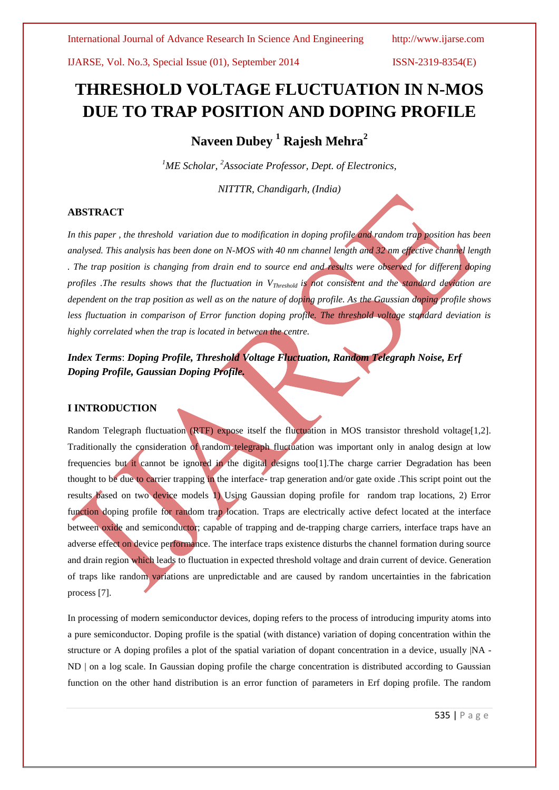IJARSE, Vol. No.3, Special Issue (01), September 2014 ISSN-2319-8354(E)

# **THRESHOLD VOLTAGE FLUCTUATION IN N-MOS DUE TO TRAP POSITION AND DOPING PROFILE**

**Naveen Dubey <sup>1</sup> Rajesh Mehra<sup>2</sup>**

*<sup>1</sup>ME Scholar, <sup>2</sup>Associate Professor, Dept. of Electronics,*

*NITTTR, Chandigarh, (India)* 

#### **ABSTRACT**

*In this paper , the threshold variation due to modification in doping profile and random trap position has been analysed. This analysis has been done on N-MOS with 40 nm channel length and 32 nm effective channel length . The trap position is changing from drain end to source end and results were observed for different doping profiles .The results shows that the fluctuation in VThreshold is not consistent and the standard deviation are dependent on the trap position as well as on the nature of doping profile. As the Gaussian doping profile shows less fluctuation in comparison of Error function doping profile. The threshold voltage standard deviation is highly correlated when the trap is located in between the centre.*

*Index Terms*: *Doping Profile, Threshold Voltage Fluctuation, Random Telegraph Noise, Erf Doping Profile, Gaussian Doping Profile.*

#### **I INTRODUCTION**

Random Telegraph fluctuation (RTF) expose itself the fluctuation in MOS transistor threshold voltage[1,2]. Traditionally the consideration of random telegraph fluctuation was important only in analog design at low frequencies but it cannot be ignored in the digital designs too[1].The charge carrier Degradation has been thought to be due to carrier trapping in the interface- trap generation and/or gate oxide .This script point out the results based on two device models 1) Using Gaussian doping profile for random trap locations, 2) Error function doping profile for random trap location. Traps are electrically active defect located at the interface between oxide and semiconductor; capable of trapping and de-trapping charge carriers, interface traps have an adverse effect on device performance. The interface traps existence disturbs the channel formation during source and drain region which leads to fluctuation in expected threshold voltage and drain current of device. Generation of traps like random variations are unpredictable and are caused by random uncertainties in the fabrication process [7].

In processing of modern semiconductor devices, doping refers to the process of introducing impurity atoms into a pure semiconductor. Doping profile is the spatial (with distance) variation of doping concentration within the structure or A doping profiles a plot of the spatial variation of dopant concentration in a device, usually |NA - ND | on a log scale. In Gaussian doping profile the charge concentration is distributed according to Gaussian function on the other hand distribution is an error function of parameters in Erf doping profile. The random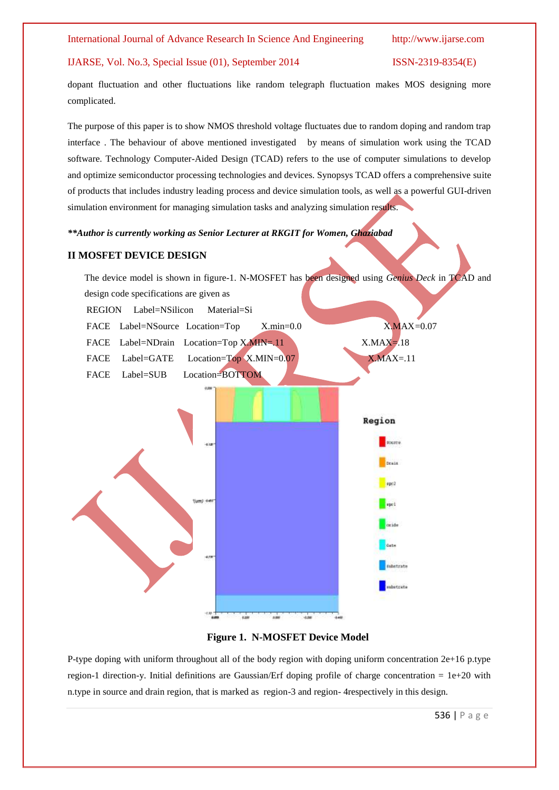#### IJARSE, Vol. No.3, Special Issue (01), September 2014 ISSN-2319-8354(E)

dopant fluctuation and other fluctuations like random telegraph fluctuation makes MOS designing more complicated.

The purpose of this paper is to show NMOS threshold voltage fluctuates due to random doping and random trap interface . The behaviour of above mentioned investigated by means of simulation work using the TCAD software. Technology Computer-Aided Design (TCAD) refers to the use of computer simulations to develop and optimize semiconductor processing technologies and devices. Synopsys TCAD offers a comprehensive suite of products that includes industry leading [process](http://www.synopsys.com/Tools/TCAD/ProcessSimulation/Pages/default.aspx) and [device simulation](http://www.synopsys.com/Tools/TCAD/DeviceSimulation/Pages/default.aspx) tools, as well as a powerful GUI-driven simulation environment for managing simulation tasks and analyzing simulation results.

*\*\*Author is currently working as Senior Lecturer at RKGIT for Women, Ghaziabad*

#### **II MOSFET DEVICE DESIGN**





P-type doping with uniform throughout all of the body region with doping uniform concentration 2e+16 p.type region-1 direction-y. Initial definitions are Gaussian/Erf doping profile of charge concentration = 1e+20 with n.type in source and drain region, that is marked as region-3 and region- 4respectively in this design.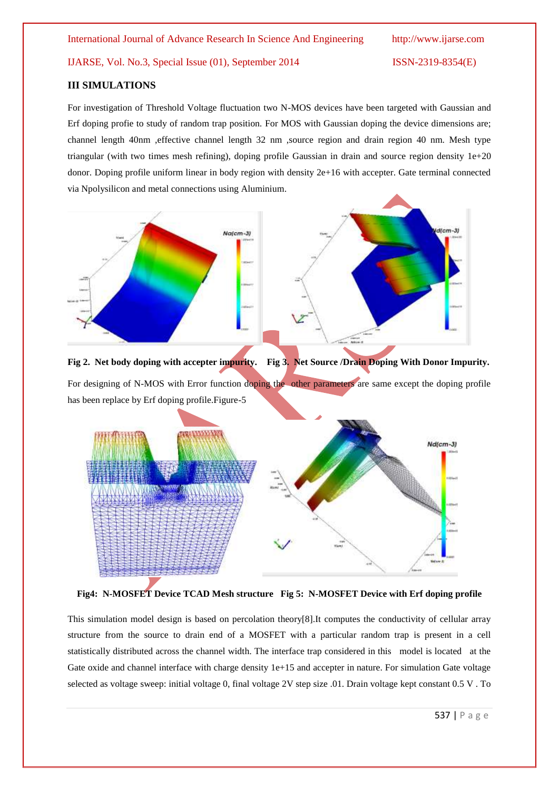IJARSE, Vol. No.3, Special Issue (01), September 2014 ISSN-2319-8354(E)

#### **III SIMULATIONS**

For investigation of Threshold Voltage fluctuation two N-MOS devices have been targeted with Gaussian and Erf doping profie to study of random trap position. For MOS with Gaussian doping the device dimensions are; channel length 40nm ,effective channel length 32 nm ,source region and drain region 40 nm. Mesh type triangular (with two times mesh refining), doping profile Gaussian in drain and source region density 1e+20 donor. Doping profile uniform linear in body region with density 2e+16 with accepter. Gate terminal connected via Npolysilicon and metal connections using Aluminium.



**Fig 2. Net body doping with accepter impurity. Fig 3. Net Source /Drain Doping With Donor Impurity.** For designing of N-MOS with Error function doping the other parameters are same except the doping profile has been replace by Erf doping profile.Figure-5



**Fig4: N-MOSFET Device TCAD Mesh structure Fig 5: N-MOSFET Device with Erf doping profile**

This simulation model design is based on percolation theory[8].It computes the conductivity of cellular array structure from the source to drain end of a MOSFET with a particular random trap is present in a cell statistically distributed across the channel width. The interface trap considered in this model is located at the Gate oxide and channel interface with charge density 1e+15 and accepter in nature. For simulation Gate voltage selected as voltage sweep: initial voltage 0, final voltage 2V step size .01. Drain voltage kept constant 0.5 V . To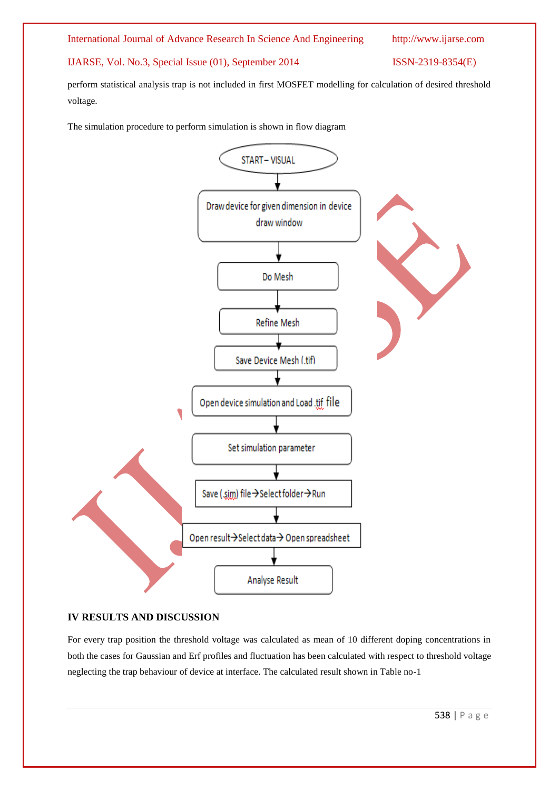#### International Journal of Advance Research In Science And Engineering http://www.ijarse.com

IJARSE, Vol. No.3, Special Issue (01), September 2014 ISSN-2319-8354(E)

perform statistical analysis trap is not included in first MOSFET modelling for calculation of desired threshold voltage.

The simulation procedure to perform simulation is shown in flow diagram



#### **IV RESULTS AND DISCUSSION**

For every trap position the threshold voltage was calculated as mean of 10 different doping concentrations in both the cases for Gaussian and Erf profiles and fluctuation has been calculated with respect to threshold voltage neglecting the trap behaviour of device at interface. The calculated result shown in Table no-1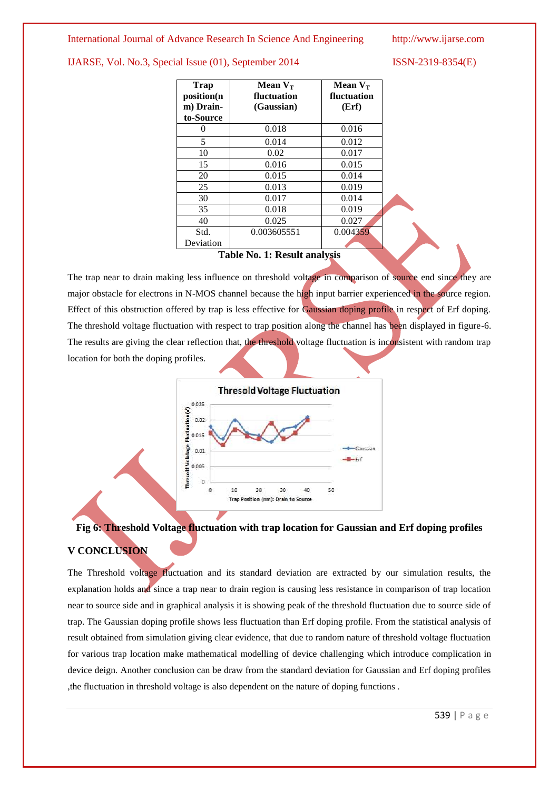#### International Journal of Advance Research In Science And Engineering http://www.ijarse.com

IJARSE, Vol. No.3, Special Issue (01), September 2014 ISSN-2319-8354(E)

| <b>Trap</b><br>position(n<br>m) Drain-<br>to-Source | Mean $V_T$<br>fluctuation<br>(Gaussian) | Mean $V_T$<br>fluctuation<br>(Erf) |
|-----------------------------------------------------|-----------------------------------------|------------------------------------|
| 0                                                   | 0.018                                   | 0.016                              |
| 5                                                   | 0.014                                   | 0.012                              |
| 10                                                  | 0.02                                    | 0.017                              |
| 15                                                  | 0.016                                   | 0.015                              |
| 20                                                  | 0.015                                   | 0.014                              |
| 25                                                  | 0.013                                   | 0.019                              |
| 30                                                  | 0.017                                   | 0.014                              |
| 35                                                  | 0.018                                   | 0.019                              |
| 40                                                  | 0.025                                   | 0.027                              |
| Std.                                                | 0.003605551                             | 0.004359                           |
| Deviation                                           |                                         |                                    |

#### **Table No. 1: Result analysis**

The trap near to drain making less influence on threshold voltage in comparison of source end since they are major obstacle for electrons in N-MOS channel because the high input barrier experienced in the source region. Effect of this obstruction offered by trap is less effective for Gaussian doping profile in respect of Erf doping. The threshold voltage fluctuation with respect to trap position along the channel has been displayed in figure-6. The results are giving the clear reflection that, the threshold voltage fluctuation is inconsistent with random trap location for both the doping profiles.



## **Fig 6: Threshold Voltage fluctuation with trap location for Gaussian and Erf doping profiles V CONCLUSION**

The Threshold voltage fluctuation and its standard deviation are extracted by our simulation results, the explanation holds and since a trap near to drain region is causing less resistance in comparison of trap location near to source side and in graphical analysis it is showing peak of the threshold fluctuation due to source side of trap. The Gaussian doping profile shows less fluctuation than Erf doping profile. From the statistical analysis of result obtained from simulation giving clear evidence, that due to random nature of threshold voltage fluctuation for various trap location make mathematical modelling of device challenging which introduce complication in device deign. Another conclusion can be draw from the standard deviation for Gaussian and Erf doping profiles ,the fluctuation in threshold voltage is also dependent on the nature of doping functions .